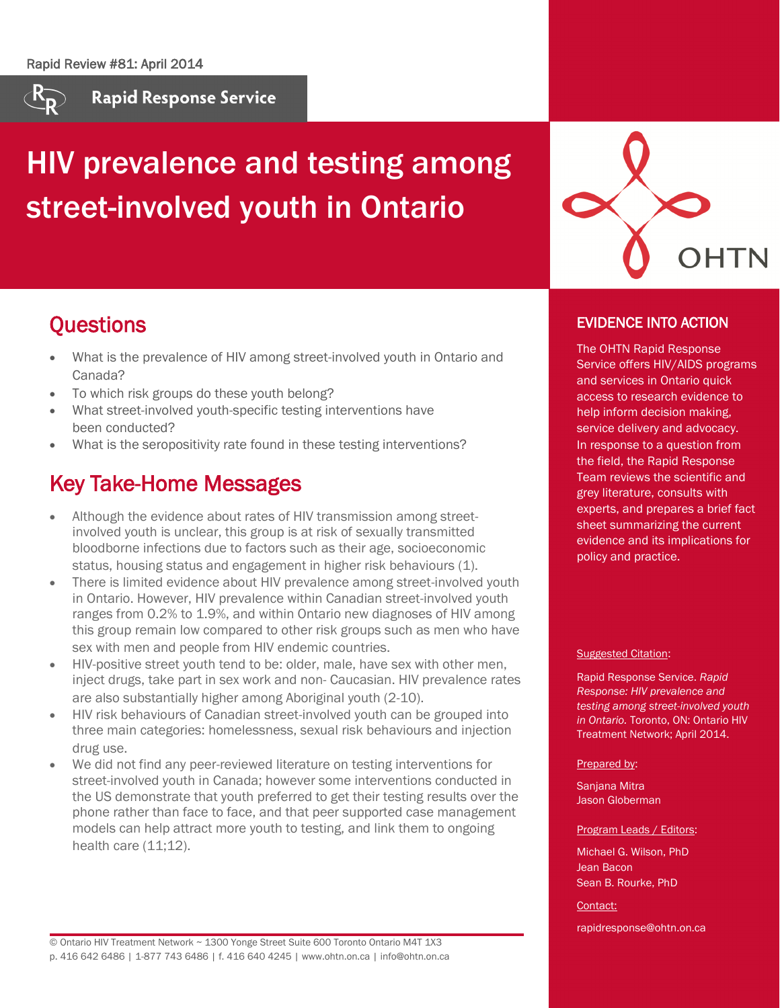

**Rapid Response Service** 

# HIV prevalence and testing among street-involved youth in Ontario



EVIDENCE INTO ACTION

The OHTN Rapid Response Service offers HIV/AIDS programs and services in Ontario quick access to research evidence to help inform decision making, service delivery and advocacy. In response to a question from the field, the Rapid Response Team reviews the scientific and grey literature, consults with experts, and prepares a brief fact sheet summarizing the current evidence and its implications for

### **Questions**

- What is the prevalence of HIV among street-involved youth in Ontario and Canada?
- To which risk groups do these youth belong?
- What street-involved youth-specific testing interventions have been conducted?
- What is the seropositivity rate found in these testing interventions?

### Key Take-Home Messages

- Although the evidence about rates of HIV transmission among streetinvolved youth is unclear, this group is at risk of sexually transmitted bloodborne infections due to factors such as their age, socioeconomic status, housing status and engagement in higher risk behaviours (1).
- There is limited evidence about HIV prevalence among street-involved youth in Ontario. However, HIV prevalence within Canadian street-involved youth ranges from 0.2% to 1.9%, and within Ontario new diagnoses of HIV among this group remain low compared to other risk groups such as men who have sex with men and people from HIV endemic countries.
- HIV-positive street youth tend to be: older, male, have sex with other men, inject drugs, take part in sex work and non- Caucasian. HIV prevalence rates are also substantially higher among Aboriginal youth (2-10).
- HIV risk behaviours of Canadian street-involved youth can be grouped into three main categories: homelessness, sexual risk behaviours and injection drug use.
- We did not find any peer-reviewed literature on testing interventions for street-involved youth in Canada; however some interventions conducted in the US demonstrate that youth preferred to get their testing results over the phone rather than face to face, and that peer supported case management models can help attract more youth to testing, and link them to ongoing health care (11;12).

Suggested Citation:

policy and practice.

Rapid Response Service. *Rapid Response: HIV prevalence and testing among street-involved youth in Ontario.* Toronto, ON: Ontario HIV Treatment Network; April 2014.

#### Prepared by:

Sanjana Mitra Jason Globerman

#### Program Leads / Editors:

Michael G. Wilson, PhD Jean Bacon Sean B. Rourke, PhD

#### Contact:

rapidresponse@ohtn.on.ca

© Ontario HIV Treatment Network ~ 1300 Yonge Street Suite 600 Toronto Ontario M4T 1X3 p. 416 642 6486 | 1-877 743 6486 | f. 416 640 4245 | www.ohtn.on.ca | info@ohtn.on.ca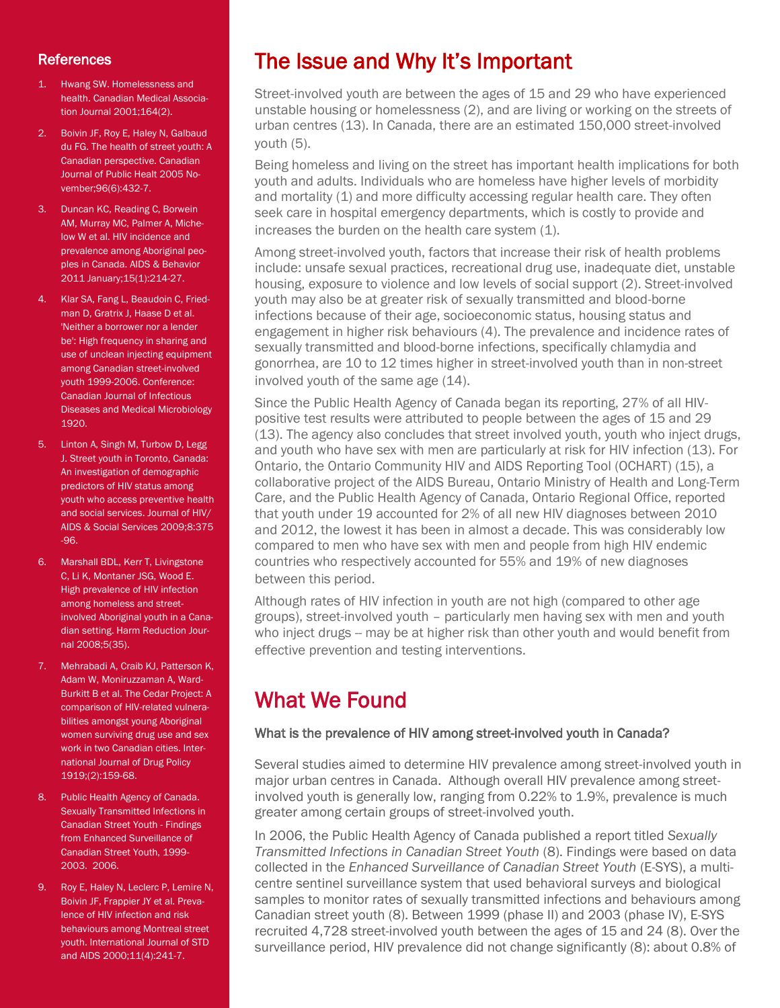### **References**

- 1. Hwang SW. Homelessness and health. Canadian Medical Association Journal 2001;164(2).
- 2. Boivin JF, Roy E, Haley N, Galbaud du FG. The health of street youth: A Canadian perspective. Canadian Journal of Public Healt 2005 November;96(6):432-7.
- 3. Duncan KC, Reading C, Borwein AM, Murray MC, Palmer A, Michelow W et al. HIV incidence and prevalence among Aboriginal peoples in Canada. AIDS & Behavior 2011 January;15(1):214-27.
- 4. Klar SA, Fang L, Beaudoin C, Friedman D, Gratrix J, Haase D et al. 'Neither a borrower nor a lender be': High frequency in sharing and use of unclean injecting equipment among Canadian street-involved youth 1999-2006. Conference: Canadian Journal of Infectious Diseases and Medical Microbiology 1920.
- 5. Linton A, Singh M, Turbow D, Legg J. Street youth in Toronto, Canada: An investigation of demographic predictors of HIV status among youth who access preventive health and social services. Journal of HIV/ AIDS & Social Services 2009;8:375 -96.
- 6. Marshall BDL, Kerr T, Livingstone C, Li K, Montaner JSG, Wood E. High prevalence of HIV infection among homeless and streetinvolved Aboriginal youth in a Canadian setting. Harm Reduction Journal 2008;5(35).
- 7. Mehrabadi A, Craib KJ, Patterson K, Adam W, Moniruzzaman A, Ward-Burkitt B et al. The Cedar Project: A comparison of HIV-related vulnerabilities amongst young Aboriginal women surviving drug use and sex work in two Canadian cities. International Journal of Drug Policy 1919;(2):159-68.
- 8. Public Health Agency of Canada. Sexually Transmitted Infections in Canadian Street Youth - Findings from Enhanced Surveillance of Canadian Street Youth, 1999- 2003. 2006.
- 9. Roy E, Haley N, Leclerc P, Lemire N, Boivin JF, Frappier JY et al. Prevalence of HIV infection and risk behaviours among Montreal street youth. International Journal of STD and AIDS 2000;11(4):241-7.

# The Issue and Why It's Important

Street-involved youth are between the ages of 15 and 29 who have experienced unstable housing or homelessness (2), and are living or working on the streets of urban centres (13). In Canada, there are an estimated 150,000 street-involved youth (5).

Being homeless and living on the street has important health implications for both youth and adults. Individuals who are homeless have higher levels of morbidity and mortality (1) and more difficulty accessing regular health care. They often seek care in hospital emergency departments, which is costly to provide and increases the burden on the health care system (1).

Among street-involved youth, factors that increase their risk of health problems include: unsafe sexual practices, recreational drug use, inadequate diet, unstable housing, exposure to violence and low levels of social support (2). Street-involved youth may also be at greater risk of sexually transmitted and blood-borne infections because of their age, socioeconomic status, housing status and engagement in higher risk behaviours (4). The prevalence and incidence rates of sexually transmitted and blood-borne infections, specifically chlamydia and gonorrhea, are 10 to 12 times higher in street-involved youth than in non-street involved youth of the same age (14).

Since the Public Health Agency of Canada began its reporting, 27% of all HIVpositive test results were attributed to people between the ages of 15 and 29 (13). The agency also concludes that street involved youth, youth who inject drugs, and youth who have sex with men are particularly at risk for HIV infection (13). For Ontario, the Ontario Community HIV and AIDS Reporting Tool (OCHART) (15), a collaborative project of the AIDS Bureau, Ontario Ministry of Health and Long-Term Care, and the Public Health Agency of Canada, Ontario Regional Office, reported that youth under 19 accounted for 2% of all new HIV diagnoses between 2010 and 2012, the lowest it has been in almost a decade. This was considerably low compared to men who have sex with men and people from high HIV endemic countries who respectively accounted for 55% and 19% of new diagnoses between this period.

Although rates of HIV infection in youth are not high (compared to other age groups), street-involved youth – particularly men having sex with men and youth who inject drugs -- may be at higher risk than other youth and would benefit from effective prevention and testing interventions.

# What We Found

### What is the prevalence of HIV among street-involved youth in Canada?

Several studies aimed to determine HIV prevalence among street-involved youth in major urban centres in Canada. Although overall HIV prevalence among streetinvolved youth is generally low, ranging from 0.22% to 1.9%, prevalence is much greater among certain groups of street-involved youth.

In 2006, the Public Health Agency of Canada published a report titled *Sexually Transmitted Infections in Canadian Street Youth* (8). Findings were based on data collected in the *Enhanced Surveillance of Canadian Street Youth* (E-SYS), a multicentre sentinel surveillance system that used behavioral surveys and biological samples to monitor rates of sexually transmitted infections and behaviours among Canadian street youth (8). Between 1999 (phase II) and 2003 (phase IV), E-SYS recruited 4,728 street-involved youth between the ages of 15 and 24 (8). Over the surveillance period, HIV prevalence did not change significantly (8): about 0.8% of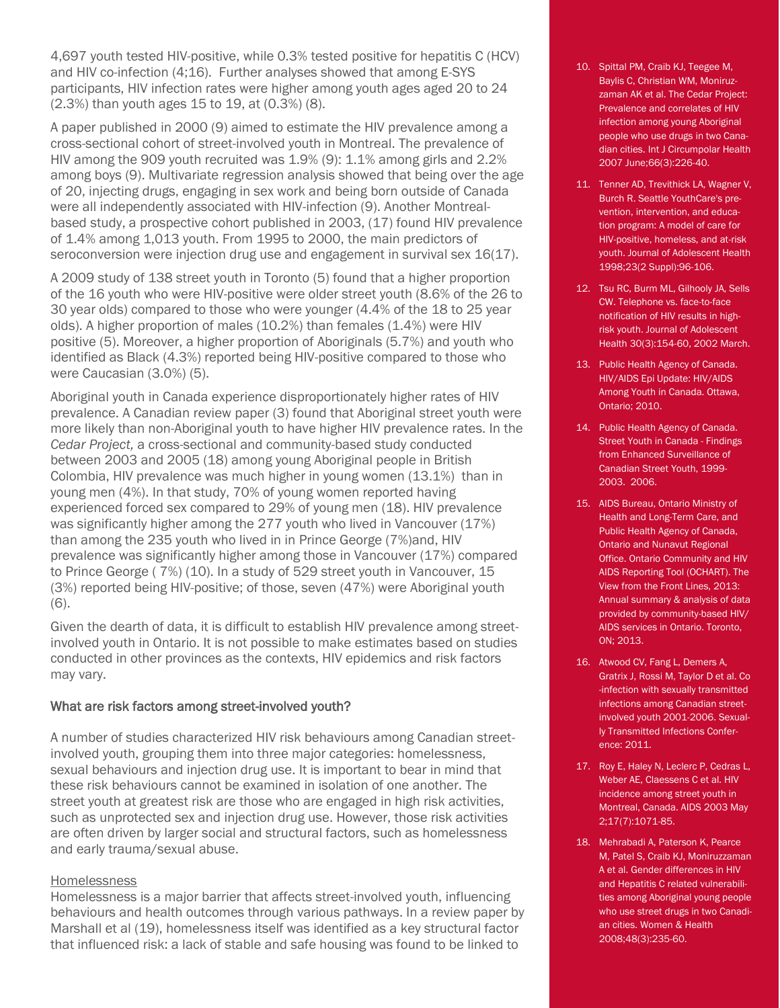4,697 youth tested HIV-positive, while 0.3% tested positive for hepatitis C (HCV) and HIV co-infection (4;16). Further analyses showed that among E-SYS participants, HIV infection rates were higher among youth ages aged 20 to 24 (2.3%) than youth ages 15 to 19, at (0.3%) (8).

A paper published in 2000 (9) aimed to estimate the HIV prevalence among a cross-sectional cohort of street-involved youth in Montreal. The prevalence of HIV among the 909 youth recruited was 1.9% (9): 1.1% among girls and 2.2% among boys (9). Multivariate regression analysis showed that being over the age of 20, injecting drugs, engaging in sex work and being born outside of Canada were all independently associated with HIV-infection (9). Another Montrealbased study, a prospective cohort published in 2003, (17) found HIV prevalence of 1.4% among 1,013 youth. From 1995 to 2000, the main predictors of seroconversion were injection drug use and engagement in survival sex 16(17).

A 2009 study of 138 street youth in Toronto (5) found that a higher proportion of the 16 youth who were HIV-positive were older street youth (8.6% of the 26 to 30 year olds) compared to those who were younger (4.4% of the 18 to 25 year olds). A higher proportion of males (10.2%) than females (1.4%) were HIV positive (5). Moreover, a higher proportion of Aboriginals (5.7%) and youth who identified as Black (4.3%) reported being HIV-positive compared to those who were Caucasian (3.0%) (5).

Aboriginal youth in Canada experience disproportionately higher rates of HIV prevalence. A Canadian review paper (3) found that Aboriginal street youth were more likely than non-Aboriginal youth to have higher HIV prevalence rates. In the *Cedar Project,* a cross-sectional and community-based study conducted between 2003 and 2005 (18) among young Aboriginal people in British Colombia, HIV prevalence was much higher in young women (13.1%) than in young men (4%). In that study, 70% of young women reported having experienced forced sex compared to 29% of young men (18). HIV prevalence was significantly higher among the 277 youth who lived in Vancouver (17%) than among the 235 youth who lived in in Prince George (7%)and, HIV prevalence was significantly higher among those in Vancouver (17%) compared to Prince George ( 7%) (10). In a study of 529 street youth in Vancouver, 15 (3%) reported being HIV-positive; of those, seven (47%) were Aboriginal youth (6).

Given the dearth of data, it is difficult to establish HIV prevalence among streetinvolved youth in Ontario. It is not possible to make estimates based on studies conducted in other provinces as the contexts, HIV epidemics and risk factors may vary.

#### What are risk factors among street-involved youth?

A number of studies characterized HIV risk behaviours among Canadian streetinvolved youth, grouping them into three major categories: homelessness, sexual behaviours and injection drug use. It is important to bear in mind that these risk behaviours cannot be examined in isolation of one another. The street youth at greatest risk are those who are engaged in high risk activities, such as unprotected sex and injection drug use. However, those risk activities are often driven by larger social and structural factors, such as homelessness and early trauma/sexual abuse.

#### Homelessness

Homelessness is a major barrier that affects street-involved youth, influencing behaviours and health outcomes through various pathways. In a review paper by Marshall et al (19), homelessness itself was identified as a key structural factor that influenced risk: a lack of stable and safe housing was found to be linked to

- 10. Spittal PM, Craib KJ, Teegee M, Baylis C, Christian WM, Moniruzzaman AK et al. The Cedar Project: Prevalence and correlates of HIV infection among young Aboriginal people who use drugs in two Canadian cities. Int J Circumpolar Health 2007 June;66(3):226-40.
- 11. Tenner AD, Trevithick LA, Wagner V, Burch R. Seattle YouthCare's prevention, intervention, and education program: A model of care for HIV-positive, homeless, and at-risk youth. Journal of Adolescent Health 1998;23(2 Suppl):96-106.
- 12. Tsu RC, Burm ML, Gilhooly JA, Sells CW. Telephone vs. face-to-face notification of HIV results in highrisk youth. Journal of Adolescent Health 30(3):154-60, 2002 March.
- 13. Public Health Agency of Canada. HIV/AIDS Epi Update: HIV/AIDS Among Youth in Canada. Ottawa, Ontario; 2010.
- 14. Public Health Agency of Canada. Street Youth in Canada - Findings from Enhanced Surveillance of Canadian Street Youth, 1999- 2003. 2006.
- 15. AIDS Bureau, Ontario Ministry of Health and Long-Term Care, and Public Health Agency of Canada, Ontario and Nunavut Regional Office. Ontario Community and HIV AIDS Reporting Tool (OCHART). The View from the Front Lines, 2013: Annual summary & analysis of data provided by community-based HIV/ AIDS services in Ontario. Toronto, ON; 2013.
- 16. Atwood CV, Fang L, Demers A, Gratrix J, Rossi M, Taylor D et al. Co -infection with sexually transmitted infections among Canadian streetinvolved youth 2001-2006. Sexually Transmitted Infections Conference: 2011.
- 17. Roy E, Haley N, Leclerc P, Cedras L, Weber AE, Claessens C et al. HIV incidence among street youth in Montreal, Canada. AIDS 2003 May 2;17(7):1071-85.
- 18. Mehrabadi A, Paterson K, Pearce M, Patel S, Craib KJ, Moniruzzaman A et al. Gender differences in HIV and Hepatitis C related vulnerabilities among Aboriginal young people who use street drugs in two Canadian cities. Women & Health 2008;48(3):235-60.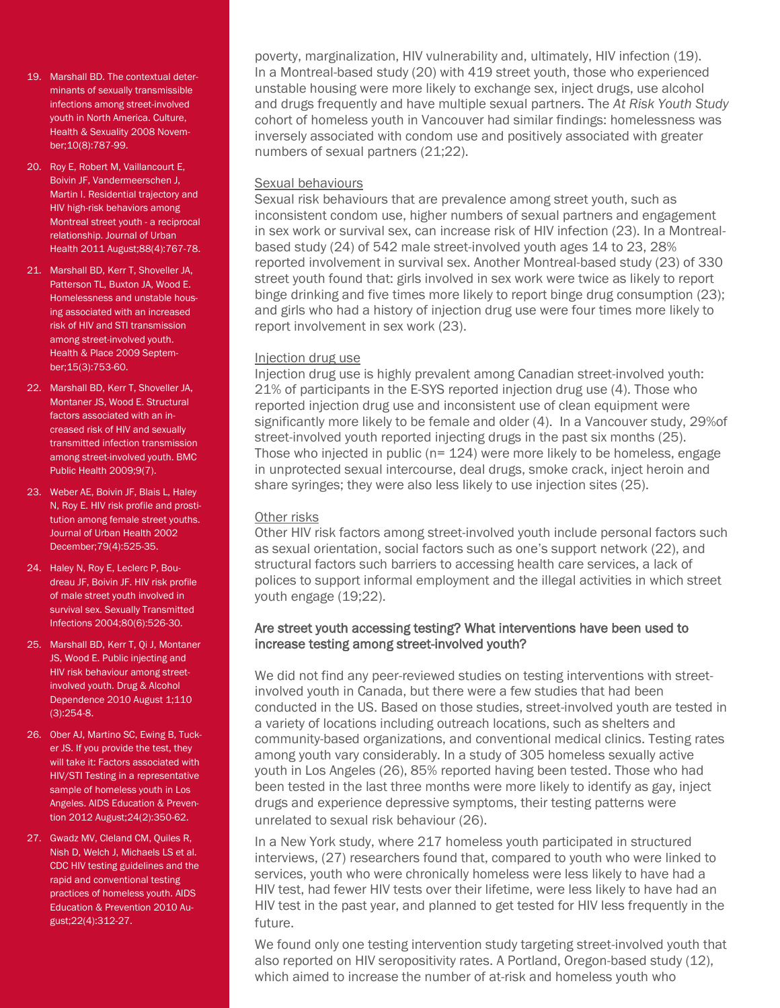- 19. Marshall BD. The contextual determinants of sexually transmissible infections among street-involved youth in North America. Culture, Health & Sexuality 2008 November;10(8):787-99.
- 20. Roy E, Robert M, Vaillancourt E, Boivin JF, Vandermeerschen J, Martin I. Residential trajectory and HIV high-risk behaviors among Montreal street youth - a reciprocal relationship. Journal of Urban Health 2011 August;88(4):767-78.
- 21. Marshall BD, Kerr T, Shoveller JA, Patterson TL, Buxton JA, Wood E. Homelessness and unstable housing associated with an increased risk of HIV and STI transmission among street-involved youth. Health & Place 2009 September;15(3):753-60.
- 22. Marshall BD, Kerr T, Shoveller JA, Montaner JS, Wood E. Structural factors associated with an increased risk of HIV and sexually transmitted infection transmission among street-involved youth. BMC Public Health 2009;9(7).
- 23. Weber AE, Boivin JF, Blais L, Haley N, Roy E. HIV risk profile and prostitution among female street youths. Journal of Urban Health 2002 December;79(4):525-35.
- 24. Haley N, Roy E, Leclerc P, Boudreau JF, Boivin JF. HIV risk profile of male street youth involved in survival sex. Sexually Transmitted Infections 2004;80(6):526-30.
- 25. Marshall BD, Kerr T, Qi J, Montaner JS, Wood E. Public injecting and HIV risk behaviour among streetinvolved youth. Drug & Alcohol Dependence 2010 August 1;110 (3):254-8.
- 26. Ober AJ, Martino SC, Ewing B, Tucker JS. If you provide the test, they will take it: Factors associated with HIV/STI Testing in a representative sample of homeless youth in Los Angeles. AIDS Education & Prevention 2012 August;24(2):350-62.
- 27. Gwadz MV, Cleland CM, Quiles R, Nish D, Welch J, Michaels LS et al. CDC HIV testing guidelines and the rapid and conventional testing practices of homeless youth. AIDS Education & Prevention 2010 August;22(4):312-27.

poverty, marginalization, HIV vulnerability and, ultimately, HIV infection (19). In a Montreal-based study (20) with 419 street youth, those who experienced unstable housing were more likely to exchange sex, inject drugs, use alcohol and drugs frequently and have multiple sexual partners. The *At Risk Youth Study*  cohort of homeless youth in Vancouver had similar findings: homelessness was inversely associated with condom use and positively associated with greater numbers of sexual partners (21;22).

#### Sexual behaviours

Sexual risk behaviours that are prevalence among street youth, such as inconsistent condom use, higher numbers of sexual partners and engagement in sex work or survival sex, can increase risk of HIV infection (23). In a Montrealbased study (24) of 542 male street-involved youth ages 14 to 23, 28% reported involvement in survival sex. Another Montreal-based study (23) of 330 street youth found that: girls involved in sex work were twice as likely to report binge drinking and five times more likely to report binge drug consumption (23); and girls who had a history of injection drug use were four times more likely to report involvement in sex work (23).

#### Injection drug use

Injection drug use is highly prevalent among Canadian street-involved youth: 21% of participants in the E-SYS reported injection drug use (4). Those who reported injection drug use and inconsistent use of clean equipment were significantly more likely to be female and older (4). In a Vancouver study, 29%of street-involved youth reported injecting drugs in the past six months (25). Those who injected in public ( $n= 124$ ) were more likely to be homeless, engage in unprotected sexual intercourse, deal drugs, smoke crack, inject heroin and share syringes; they were also less likely to use injection sites (25).

### Other risks

Other HIV risk factors among street-involved youth include personal factors such as sexual orientation, social factors such as one's support network (22), and structural factors such barriers to accessing health care services, a lack of polices to support informal employment and the illegal activities in which street youth engage (19;22).

#### Are street youth accessing testing? What interventions have been used to increase testing among street-involved youth?

We did not find any peer-reviewed studies on testing interventions with streetinvolved youth in Canada, but there were a few studies that had been conducted in the US. Based on those studies, street-involved youth are tested in a variety of locations including outreach locations, such as shelters and community-based organizations, and conventional medical clinics. Testing rates among youth vary considerably. In a study of 305 homeless sexually active youth in Los Angeles (26), 85% reported having been tested. Those who had been tested in the last three months were more likely to identify as gay, inject drugs and experience depressive symptoms, their testing patterns were unrelated to sexual risk behaviour (26).

In a New York study, where 217 homeless youth participated in structured interviews, (27) researchers found that, compared to youth who were linked to services, youth who were chronically homeless were less likely to have had a HIV test, had fewer HIV tests over their lifetime, were less likely to have had an HIV test in the past year, and planned to get tested for HIV less frequently in the future.

We found only one testing intervention study targeting street-involved youth that also reported on HIV seropositivity rates. A Portland, Oregon-based study (12), which aimed to increase the number of at-risk and homeless youth who